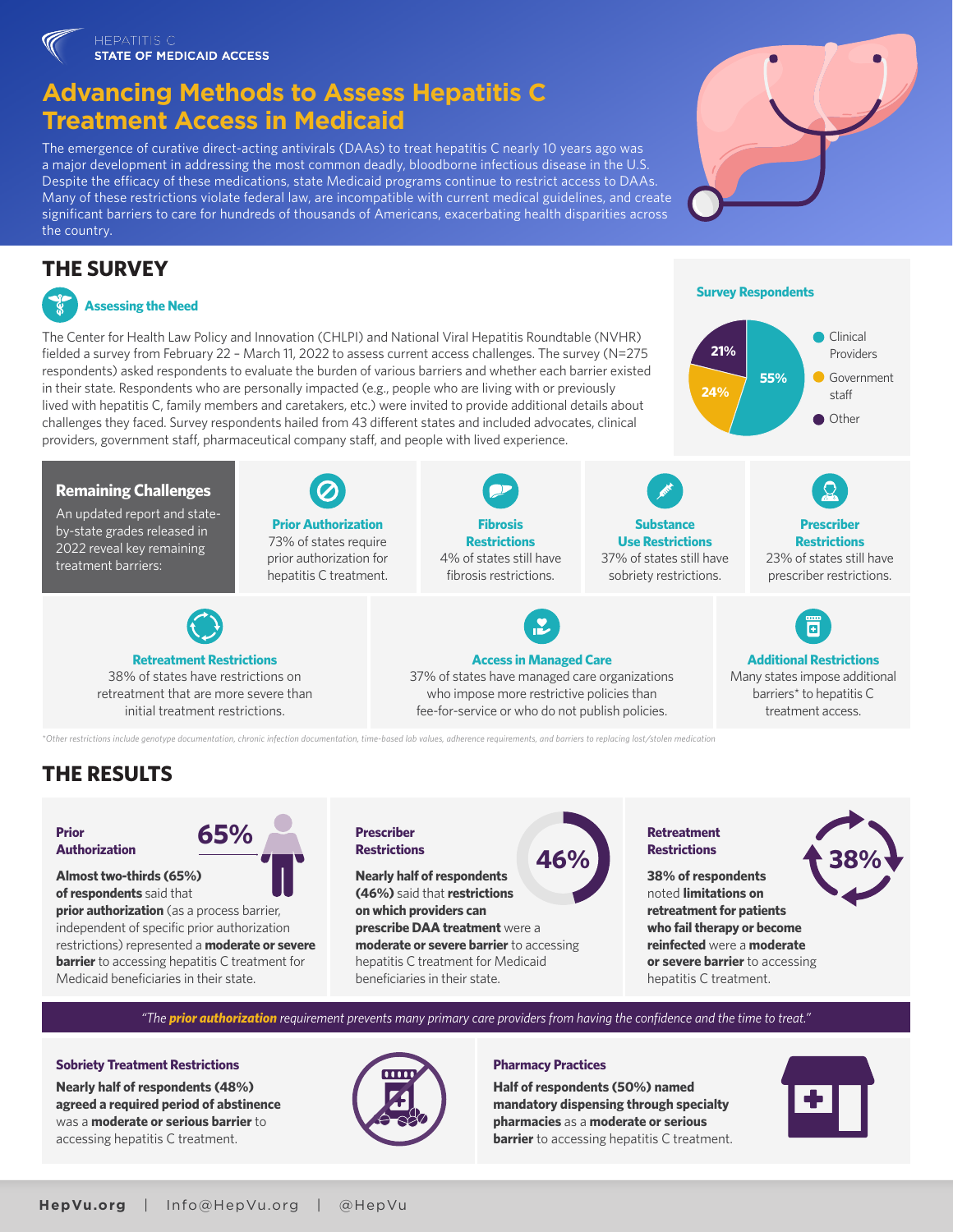# **Advancing Methods to Assess Hepatitis C Treatment Access in Medicaid**

The emergence of curative direct-acting antivirals (DAAs) to treat hepatitis C nearly 10 years ago was a major development in addressing the most common deadly, bloodborne infectious disease in the U.S. Despite the efficacy of these medications, state Medicaid programs continue to restrict access to DAAs. Many of these restrictions violate federal law, are incompatible with current medical guidelines, and create significant barriers to care for hundreds of thousands of Americans, exacerbating health disparities across the country.

# **THE SURVEY**



## **Assessing the Need**

An updated report and stateby-state grades released in 2022 reveal key remaining treatment barriers:

**Remaining Challenges**

The Center for Health Law Policy and Innovation (CHLPI) and National Viral Hepatitis Roundtable (NVHR) fielded a survey from February 22 – March 11, 2022 to assess current access challenges. The survey (N=275 respondents) asked respondents to evaluate the burden of various barriers and whether each barrier existed in their state. Respondents who are personally impacted (e.g., people who are living with or previously lived with hepatitis C, family members and caretakers, etc.) were invited to provide additional details about challenges they faced. Survey respondents hailed from 43 different states and included advocates, clinical providers, government staff, pharmaceutical company staff, and people with lived experience.

> **Prior Authorization** 73% of states require prior authorization for hepatitis C treatment.



**Substance Use Restrictions**  37% of states still have sobriety restrictions.

## **Prescriber Restrictions**  23% of states still have

Clinical Providers Government staff Other

prescriber restrictions.



Many states impose additional barriers<sup>\*</sup> to hepatitis C treatment access.

*\*Other restrictions include genotype documentation, chronic infection documentation, time-based lab values, adherence requirements, and barriers to replacing lost/stolen medication*

# **THE RESULTS**

**Prior Authorization** **65%**

**Almost two-thirds (65%) of respondents** said that

**prior authorization** (as a process barrier, independent of specific prior authorization restrictions) represented a **moderate or severe barrier** to accessing hepatitis C treatment for Medicaid beneficiaries in their state.

**Retreatment Restrictions**  38% of states have restrictions on retreatment that are more severe than initial treatment restrictions.

## **Prescriber Restrictions**

**Nearly half of respondents (46%)** said that **restrictions on which providers can prescribe DAA treatment** were a **moderate or severe barrier** to accessing hepatitis C treatment for Medicaid beneficiaries in their state.

**Fibrosis Restrictions**  4% of states still have fibrosis restrictions.

**Access in Managed Care**  37% of states have managed care organizations who impose more restrictive policies than fee-for-service or who do not publish policies.

## **Retreatment Restrictions 46% 38%**

**38% of respondents**  noted **limitations on retreatment for patients who fail therapy or become reinfected** were a **moderate or severe barrier** to accessing hepatitis C treatment.

*"The prior authorization requirement prevents many primary care providers from having the confidence and the time to treat."*

## **Sobriety Treatment Restrictions**

**Nearly half of respondents (48%) agreed a required period of abstinence** was a **moderate or serious barrier** to accessing hepatitis C treatment.



## **Pharmacy Practices**

**Half of respondents (50%) named mandatory dispensing through specialty pharmacies** as a **moderate or serious barrier** to accessing hepatitis C treatment.





**Survey Respondents**

**55%**

**24%**

**21%**